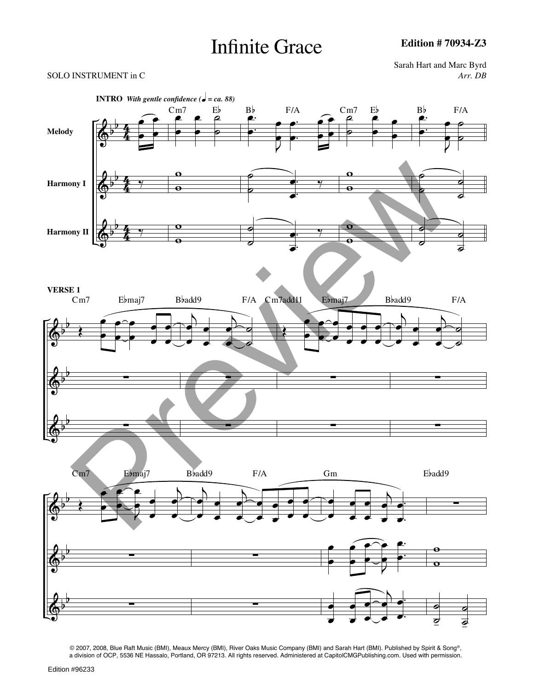# Infinite Grace

#### SOLO INSTRUMENT in C *Arr. DB*

Sarah Hart and Marc Byrd



© 2007, 2008, Blue Raft Music (BMI), Meaux Mercy (BMI), River Oaks Music Company (BMI) and Sarah Hart (BMI). Published by Spirit & Song®, a division of OCP, 5536 NE Hassalo, Portland, OR 97213. All rights reserved. Administered at CapitolCMGPublishing.com. Used with permission.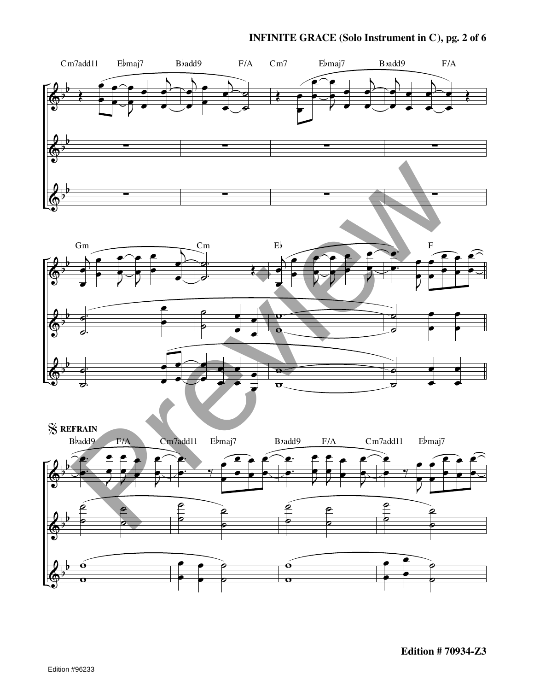### **INFINITE GRACE (Solo Instrument in C), pg. 2 of 6**

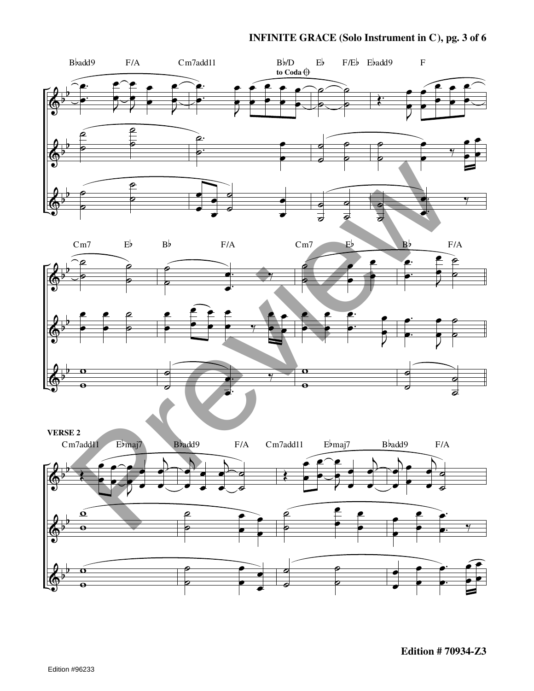# **INFINITE GRACE (Solo Instrument in C), pg. 3 of 6**

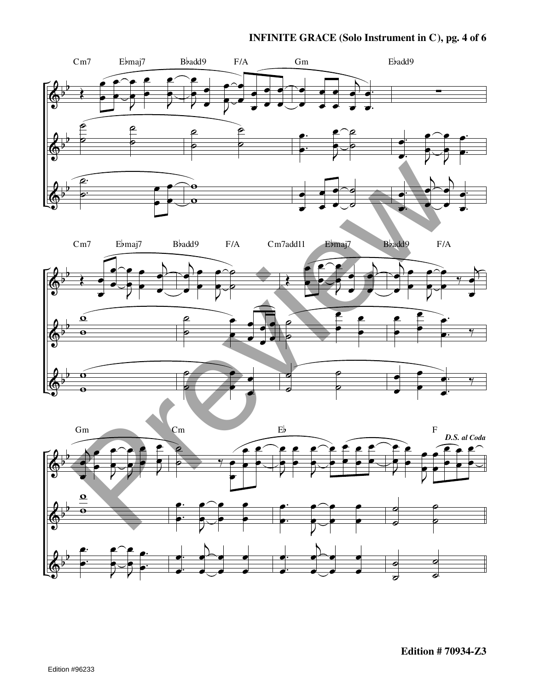# **INFINITE GRACE (Solo Instrument in C), pg. 4 of 6**

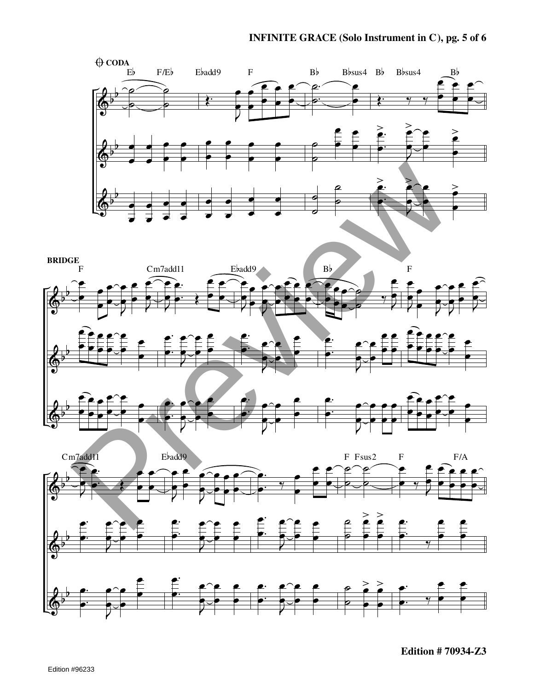





**Edition # 70934-Z3**